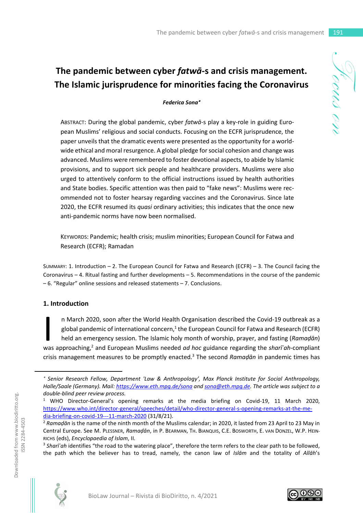# **The pandemic between cyber** *fatwā***-s and crisis management. The Islamic jurisprudence for minorities facing the Coronavirus**

#### *Federica Sona*

ABSTRACT: During the global pandemic, cyber *fatwā*-s play a key-role in guiding European Muslims' religious and social conducts. Focusing on the ECFR jurisprudence, the paper unveils that the dramatic events were presented as the opportunity for a worldwide ethical and moral resurgence. A global pledge for social cohesion and change was advanced. Muslims were remembered to foster devotional aspects, to abide by Islamic provisions, and to support sick people and healthcare providers. Muslims were also urged to attentively conform to the official instructions issued by health authorities and State bodies. Specific attention was then paid to "fake news": Muslims were recommended not to foster hearsay regarding vaccines and the Coronavirus. Since late 2020, the ECFR resumed its *quasi* ordinary activities; this indicates that the once new anti-pandemic norms have now been normalised.

KEYWORDS: Pandemic; health crisis; muslim minorities; European Council for Fatwa and Research (ECFR); Ramadan

SUMMARY: 1. Introduction – 2. The European Council for Fatwa and Research (ECFR) – 3. The Council facing the Coronavirus – 4. Ritual fasting and further developments – 5. Recommendations in the course of the pandemic – 6. "Regular" online sessions and released statements – 7. Conclusions.

#### **1. Introduction**

n March 2020, soon after the World Health Organisation described the Covid-19 outbreak as a global pandemic of international concern,<sup>1</sup> the European Council for Fatwa and Research (ECFR) held an emergency session. The Islamic holy month of worship, prayer, and fasting (*Ramaḍān*) was approaching,<sup>2</sup> and European Muslims needed *ad hoc* guidance regarding the *sharīʿah*-compliant crisis management measures to be promptly enacted.<sup>3</sup> The second Ramadan in pandemic times has I

<sup>3</sup> *Sharīʿah* identifies "the road to the watering place", therefore the term refers to the clear path to be followed, the path which the believer has to tread, namely, the canon law of *Islām* and the totality of *Allāh*'s





 *Senior Research Fellow, Department 'Law & Anthropology', Max Planck Institute for Social Anthropology, Halle/Saale (Germany). Mail: https://www.eth.mpg.de/sona and sona@eth.mpg.de. The article was subject to a double-blind peer review process.* 

<sup>&</sup>lt;sup>1</sup> WHO Director-General's opening remarks at the media briefing on Covid-19, 11 March 2020, https://www.who.int/director-general/speeches/detail/who-director-general-s-opening-remarks-at-the-media-briefing-on-covid-19---11-march-2020 (31/8/21).

<sup>2</sup> *Ramaḍān* is the name of the ninth month of the Muslims calendar; in 2020, it lasted from 23 April to 23 May in Central Europe. See M. PLESSNER, *Ramaḍān*, in P. BEARMAN, TH. BIANQUIS, C.E. BOSWORTH, E. VAN DONZEL, W.P. HEIN-RICHS (eds), *Encyclopaedia of Islam*, II.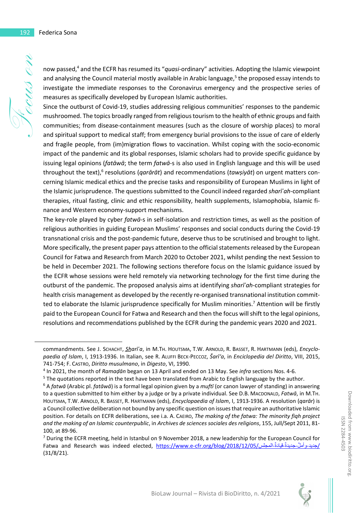now passed,<sup>4</sup> and the ECFR has resumed its "*quasi*-ordinary" activities. Adopting the Islamic viewpoint and analysing the Council material mostly available in Arabic language,<sup>5</sup> the proposed essay intends to investigate the immediate responses to the Coronavirus emergency and the prospective series of measures as specifically developed by European Islamic authorities.

Since the outburst of Covid-19, studies addressing religious communities' responses to the pandemic mushroomed. The topics broadly ranged from religious tourism to the health of ethnic groups and faith communities; from disease-containment measures (such as the closure of worship places) to moral and spiritual support to medical staff; from emergency burial provisions to the issue of care of elderly and fragile people, from (im)migration flows to vaccination. Whilst coping with the socio-economic impact of the pandemic and its global responses, Islamic scholars had to provide specific guidance by issuing legal opinions (*fatāwā*; the term *fatwā*-s is also used in English language and this will be used throughout the text),<sup>6</sup> resolutions (*qarārāt*) and recommendations (*tawṣiyāt*) on urgent matters concerning Islamic medical ethics and the precise tasks and responsibility of European Muslims in light of the Islamic jurisprudence. The questions submitted to the Council indeed regarded *sharīʿah*-compliant therapies, ritual fasting, clinic and ethic responsibility, health supplements, Islamophobia, Islamic finance and Western economy-support mechanisms.

The key-role played by cyber *fatwā*-s in self-isolation and restriction times, as well as the position of religious authorities in guiding European Muslims' responses and social conducts during the Covid-19 transnational crisis and the post-pandemic future, deserve thus to be scrutinised and brought to light. More specifically, the present paper pays attention to the official statements released by the European Council for Fatwa and Research from March 2020 to October 2021, whilst pending the next Session to be held in December 2021. The following sections therefore focus on the Islamic guidance issued by the ECFR whose sessions were held remotely via networking technology for the first time during the outburst of the pandemic. The proposed analysis aims at identifying *sharīʿah*-compliant strategies for health crisis management as developed by the recently re-organised transnational institution committed to elaborate the Islamic jurisprudence specifically for Muslim minorities.<sup>7</sup> Attention will be firstly paid to the European Council for Fatwa and Research and then the focus will shift to the legal opinions, resolutions and recommendations published by the ECFR during the pandemic years 2020 and 2021.



commandments. See J. SCHACHT, *S̲h̲arīʿa*, in M.TH. HOUTSMA, T.W. ARNOLD, R. BASSET, R. HARTMANN (eds), *Encyclopaedia of Islam*, I, 1913-1936. In Italian, see R. ALUFFI BECK-PECCOZ, *Šarī'a*, in *Enciclopedia del Diritto*, VIII, 2015, 741-754; F. CASTRO, *Diritto musulmano*, in *Digesto*, VI, 1990.

<sup>4</sup> In 2021, the month of *Ramaḍān* began on 13 April and ended on 13 May. See *infra* sections Nos. 4-6.

<sup>&</sup>lt;sup>5</sup> The quotations reported in the text have been translated from Arabic to English language by the author.

<sup>6</sup> A *fatwā* (Arabic pl. *fatāwā*) is a formal legal opinion given by a *muftī* (or canon lawyer of standing) in answering to a question submitted to him either by a judge or by a private individual. See D.B. MACDONALD, *Fatwā*, in M.TH. HOUTSMA, T.W. ARNOLD, R. BASSET, R. HARTMANN (eds), *Encyclopaedia of Islam*, I, 1913-1936. A resolution (*qarār*) is a Council collective deliberation not bound by any specific question on issues that require an authoritative Islamic position. For details on ECFR deliberations, see i.a. A. CAEIRO, *The making of the fatwa: The minority fiqh project and the making of an Islamic counterpublic*, in *Archives de sciences sociales des religions*, 155, Jull/Sept 2011, 81- 100, at 89-96.

<sup>&</sup>lt;sup>7</sup> During the ECFR meeting, held in Istanbul on 9 November 2018, a new leadership for the European Council for Fatwa and Research was indeed elected, <u>https://www.e-cfr.org/blog/2018/12/05/ أملٌ جديدةً قيادةً-المجلس</u>/ (31/8/21).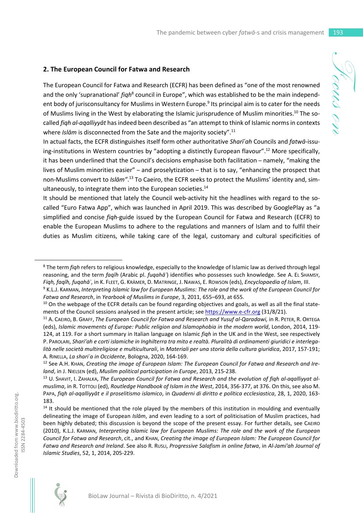#### **2. The European Council for Fatwa and Research**

The European Council for Fatwa and Research (ECFR) has been defined as "one of the most renowned and the only 'supranational' *fiqh<sup>8</sup>* council in Europe", which was established to be the main independent body of jurisconsultancy for Muslims in Western Europe.<sup>9</sup> Its principal aim is to cater for the needs of Muslims living in the West by elaborating the Islamic jurisprudence of Muslim minorities.10 The socalled *fiqh al-aqalliyyāt* has indeed been described as "an attempt to think of Islamic norms in contexts where *Islām* is disconnected from the Sate and the majority society".<sup>11</sup>

In actual facts, the ECFR distinguishes itself form other authoritative *Sharīʿah* Councils and *fatwā*-issuing-institutions in Western countries by "adopting a distinctly European flavour".<sup>12</sup> More specifically, it has been underlined that the Council's decisions emphasise both facilitation – namely, "making the lives of Muslim minorities easier" – and proselytization – that is to say, "enhancing the prospect that non-Muslims convert to *Islām"*. 13 To Caeiro, the ECFR seeks to protect the Muslims' identity and, simultaneously, to integrate them into the European societies.<sup>14</sup>

It should be mentioned that lately the Council web-activity hit the headlines with regard to the socalled "Euro Fatwa App", which was launched in April 2019. This was described by GooglePlay as "a simplified and concise *fiqh*-guide issued by the European Council for Fatwa and Research (ECFR) to enable the European Muslims to adhere to the regulations and manners of Islam and to fulfil their duties as Muslim citizens, while taking care of the legal, customary and cultural specificities of





<sup>8</sup> The term *fiqh* refers to religious knowledge, especially to the knowledge of Islamic law as derived through legal reasoning, and the term *faqīh* (Arabic pl. *fuqahāʾ*) identifies who possesses such knowledge. See A. EL SHAMSY, *Fiqh, faqīh, fuqahāʾ*, in K. FLEET, G. KRÄMER, D. MATRINGE, J. NAWAS, E. ROWSON (eds), *Encyclopaedia of Islam*, III.

<sup>9</sup> K.L.J. KARMAN, *Interpreting Islamic law for European Muslims: The role and the work of the European Council for Fatwa and Research*, in *Yearbook of Muslims in Europe*, 3, 2011, 655–693, at 655.

 $10$  On the webpage of the ECFR details can be found regarding objectives and goals, as well as all the final statements of the Council sessions analysed in the present article; see https://www.e-cfr.org (31/8/21).

<sup>&</sup>lt;sup>11</sup> A. CAEIRO, B. GRAFF, *The European Council for Fatwa and Research and Yusuf al-Qaradawi, in R. PETER, R. ORTEGA* (eds), *Islamic movements of Europe: Public religion and Islamophobia in the modern world*, London, 2014, 119- 124, at 119. For a short summary in Italian language on Islamic *fiqh* in the UK and in the West, see respectively P. PAROLARI, *Shari'ah e corti islamiche in Inghilterra tra mito e realtà. Pluralità di ordinamenti giuridici e interlegalità nelle società multireligiose e multiculturali*, in *Materiali per una storia della cultura giuridica*, 2017, 157-191; A. RINELLA, *La shariʿa in Occidente*, Bologna, 2020, 164-169.

<sup>&</sup>lt;sup>12</sup> See A.H. KHAN, *Creating the image of European Islam: The European Council for Fatwa and Research and Ireland*, in J. NIELSEN (ed), *Muslim political participation in Europe*, 2013, 215-238.

<sup>13</sup> U. SHAVIT, I. ZAHALKA, *The European Council for Fatwa and Research and the evolution of fiqh al-aqalliyyat almuslima*, in R. TOTTOLI (ed), *Routledge Handbook of Islam in the West*, 2014, 356-377, at 376. On this, see also M. PAPA, *fiqh al-aqalliyyāt e il proselitismo islamico*, in *Quaderni di diritto e política ecclesiastica*, 28, 1, 2020, 163- 183.

<sup>&</sup>lt;sup>14</sup> It should be mentioned that the role played by the members of this institution in moulding and eventually delineating the image of European *Islām*, and even leading to a sort of politicisation of Muslim practices, had been highly debated; this discussion is beyond the scope of the present essay. For further details, see CAEIRO (2010), K.L.J. KARMAN, *Interpreting Islamic law for European Muslims: The role and the work of the European Council for Fatwa and Research*, cit., and KHAN, *Creating the image of European Islam: The European Council for Fatwa and Research and Ireland*. See also R. RUSLI, *Progressive Salafism in online fatwa*, in *Al-Jami'ah Journal of Islamic Studies*, 52, 1, 2014, 205-229.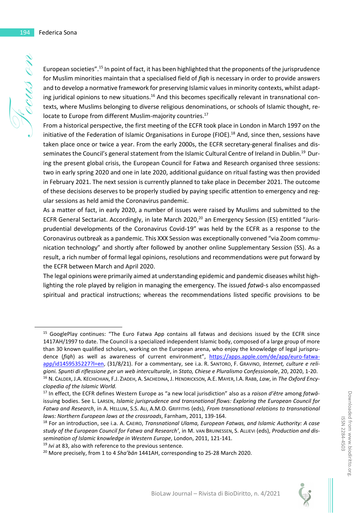European societies".<sup>15</sup> In point of fact, it has been highlighted that the proponents of the jurisprudence for Muslim minorities maintain that a specialised field of *fiqh* is necessary in order to provide answers and to develop a normative framework for preserving Islamic values in minority contexts, whilst adapting juridical opinions to new situations.<sup>16</sup> And this becomes specifically relevant in transnational contexts, where Muslims belonging to diverse religious denominations, or schools of Islamic thought, relocate to Europe from different Muslim-majority countries.<sup>17</sup>

From a historical perspective, the first meeting of the ECFR took place in London in March 1997 on the initiative of the Federation of Islamic Organisations in Europe (FIOE).<sup>18</sup> And, since then, sessions have taken place once or twice a year. From the early 2000s, the ECFR secretary-general finalises and disseminates the Council's general statement from the Islamic Cultural Centre of Ireland in Dublin.<sup>19</sup> During the present global crisis, the European Council for Fatwa and Research organised three sessions: two in early spring 2020 and one in late 2020, additional guidance on ritual fasting was then provided in February 2021. The next session is currently planned to take place in December 2021. The outcome of these decisions deserves to be properly studied by paying specific attention to emergency and regular sessions as held amid the Coronavirus pandemic.

As a matter of fact, in early 2020, a number of issues were raised by Muslims and submitted to the ECFR General Sectariat. Accordingly, in late March 2020,<sup>20</sup> an Emergency Session (ES) entitled "Jurisprudential developments of the Coronavirus Covid-19" was held by the ECFR as a response to the Coronavirus outbreak as a pandemic. This XXX Session was exceptionally convened "via Zoom communication technology" and shortly after followed by another online Supplementary Session (SS). As a result, a rich number of formal legal opinions, resolutions and recommendations were put forward by the ECFR between March and April 2020.

The legal opinions were primarily aimed at understanding epidemic and pandemic diseases whilst highlighting the role played by religion in managing the emergency. The issued *fatwā*-s also encompassed spiritual and practical instructions; whereas the recommendations listed specific provisions to be

<sup>19</sup> *Ivi* at 83, also with reference to the previous sentence.

<sup>&</sup>lt;sup>15</sup> GooglePlay continues: "The Euro Fatwa App contains all fatwas and decisions issued by the ECFR since 1417AH/1997 to date. The Council is a specialized independent Islamic body, composed of a large group of more than 30 known qualified scholars, working on the European arena, who enjoy the knowledge of legal jurisprudence (*fiqh*) as well as awareness of current environment", https://apps.apple.com/de/app/euro-fatwaapp/id1459535227?l=en, (31/8/21). For a commentary, see i.a. R. SANTORO, F. GRAVINO, *Internet, culture e religioni. Spunti di riflessione per un web interculturale*, in *Stato, Chiese e Pluralismo Confessionale*, 20, 2020, 1-20. <sup>16</sup> N. CALDER, J.A. KÉCHICHIAN, F.J. ZIADEH, A. SACHEDINA, J. HENDRICKSON, A.E. MAYER, I.A. RABB, *Law*, in *The Oxford Encyclopedia of the Islamic World.*

<sup>17</sup> In effect, the ECFR defines Western Europe as "a new local jurisdiction" also as a *raison d'être* among *fatwā*issuing bodies. See L. LARSEN, *Islamic jurisprudence and transnational flows: Exploring the European Council for Fatwa and Research*, in A. HELLUM, S.S. ALI, A.M.O. GRIFFITHS (eds), *From transnational relations to transnational laws: Northern European laws at the crossroads*, Farnham, 2011, 139-164.

<sup>18</sup> For an introduction, see i.a. A. CAEIRO, *Transnational Ulama, European Fatwas, and Islamic Authority: A case study of the European Council for Fatwa and Research'*, in M. VAN BRUINESSEN, S. ALLIEVI (eds), *Production and dissemination of Islamic knowledge in Western Europe*, London, 2011, 121-141.

<sup>20</sup> More precisely, from 1 to 4 *Sha'bān* 1441AH, corresponding to 25-28 March 2020.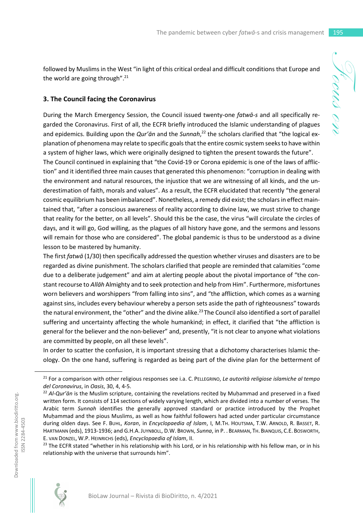followed by Muslims in the West "in light of this critical ordeal and difficult conditions that Europe and the world are going through". $21$ 

#### **3. The Council facing the Coronavirus**

During the March Emergency Session, the Council issued twenty-one *fatwā-s* and all specifically regarded the Coronavirus. First of all, the ECFR briefly introduced the Islamic understanding of plagues and epidemics. Building upon the *Qur'ān* and the *Sunnah*, 22 the scholars clarified that "the logical explanation of phenomena may relate to specific goals that the entire cosmic system seeks to have within a system of higher laws, which were originally designed to tighten the present towards the future".

The Council continued in explaining that "the Covid-19 or Corona epidemic is one of the laws of affliction" and it identified three main causes that generated this phenomenon: "corruption in dealing with the environment and natural resources, the injustice that we are witnessing of all kinds, and the underestimation of faith, morals and values". As a result, the ECFR elucidated that recently "the general cosmic equilibrium has been imbalanced". Nonetheless, a remedy did exist; the scholars in effect maintained that, "after a conscious awareness of reality according to divine law, we must strive to change that reality for the better, on all levels". Should this be the case, the virus "will circulate the circles of days, and it will go, God willing, as the plagues of all history have gone, and the sermons and lessons will remain for those who are considered". The global pandemic is thus to be understood as a divine lesson to be mastered by humanity.

The first *fatwā* (1/30) then specifically addressed the question whether viruses and disasters are to be regarded as divine punishment. The scholars clarified that people are reminded that calamities "come due to a deliberate judgement" and aim at alerting people about the pivotal importance of "the constant recourse to *Allāh* Almighty and to seek protection and help from Him". Furthermore, misfortunes worn believers and worshippers "from falling into sins", and "the affliction, which comes as a warning against sins, includes every behaviour whereby a person sets aside the path of righteousness" towards the natural environment, the "other" and the divine alike.<sup>23</sup> The Council also identified a sort of parallel suffering and uncertainty affecting the whole humankind; in effect, it clarified that "the affliction is general for the believer and the non-believer" and, presently, "it is not clear to anyone what violations are committed by people, on all these levels".

In order to scatter the confusion, it is important stressing that a dichotomy characterises Islamic theology. On the one hand, suffering is regarded as being part of the divine plan for the betterment of

<sup>&</sup>lt;sup>23</sup> The ECFR stated "whether in his relationship with his Lord, or in his relationship with his fellow man, or in his relationship with the universe that surrounds him".



<sup>21</sup> For a comparison with other religious responses see i.a. C. PELLEGRINO, *Le autorità religiose islamiche al tempo del Coronavirus*, in *Oasis*, 30, 4, 4-5.

<sup>22</sup> *Al-Qur'ān* is the Muslim scripture, containing the revelations recited by Muḥammad and preserved in a fixed written form. It consists of 114 sections of widely varying length, which are divided into a number of verses. The Arabic term *Sunnah* identifies the generally approved standard or practice introduced by the Prophet Muḥammad and the pious Muslims, as well as how faithful followers had acted under particular circumstance during olden days. See F. BUHL, *Koran*, in *Encyclopaedia of Islam*, I, M.TH. HOUTSMA, T.W. ARNOLD, R. BASSET, R. HARTMANN (eds), 1913-1936; and G.H.A.JUYNBOLL, D.W. BROWN, *Sunna*, in P. . BEARMAN, TH. BIANQUIS, C.E. BOSWORTH, E. VAN DONZEL, W.P. HEINRICHS (eds), *Encyclopaedia of Islam*, II.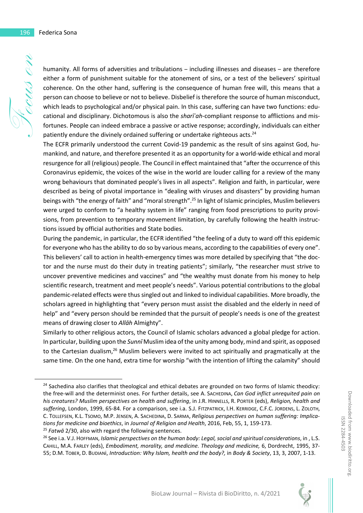humanity. All forms of adversities and tribulations – including illnesses and diseases – are therefore either a form of punishment suitable for the atonement of sins, or a test of the believers' spiritual coherence. On the other hand, suffering is the consequence of human free will, this means that a person can choose to believe or not to believe. Disbelief is therefore the source of human misconduct, which leads to psychological and/or physical pain. In this case, suffering can have two functions: educational and disciplinary. Dichotomous is also the *sharīʿah*-compliant response to afflictions and misfortunes. People can indeed embrace a passive or active response; accordingly, individuals can either patiently endure the divinely ordained suffering or undertake righteous acts. $^{24}$ 

The ECFR primarily understood the current Covid-19 pandemic as the result of sins against God, humankind, and nature, and therefore presented it as an opportunity for a world-wide ethical and moral resurgence for all (religious) people. The Council in effect maintained that "after the occurrence of this Coronavirus epidemic, the voices of the wise in the world are louder calling for a review of the many wrong behaviours that dominated people's lives in all aspects". Religion and faith, in particular, were described as being of pivotal importance in "dealing with viruses and disasters" by providing human beings with "the energy of faith" and "moral strength".<sup>25</sup> In light of Islamic principles, Muslim believers were urged to conform to "a healthy system in life" ranging from food prescriptions to purity provisions, from prevention to temporary movement limitation, by carefully following the health instructions issued by official authorities and State bodies.

During the pandemic, in particular, the ECFR identified "the feeling of a duty to ward off this epidemic for everyone who has the ability to do so by various means, according to the capabilities of every one". This believers' call to action in health-emergency times was more detailed by specifying that "the doctor and the nurse must do their duty in treating patients"; similarly, "the researcher must strive to uncover preventive medicines and vaccines" and "the wealthy must donate from his money to help scientific research, treatment and meet people's needs". Various potential contributions to the global pandemic-related effects were thus singled out and linked to individual capabilities. More broadly, the scholars agreed in highlighting that "every person must assist the disabled and the elderly in need of help" and "every person should be reminded that the pursuit of people's needs is one of the greatest means of drawing closer to *Allāh* Almighty".

Similarly to other religious actors, the Council of Islamic scholars advanced a global pledge for action. In particular, building upon the *Sunnī* Muslim idea of the unity among body, mind and spirit, as opposed to the Cartesian dualism,<sup>26</sup> Muslim believers were invited to act spiritually and pragmatically at the same time. On the one hand, extra time for worship "with the intention of lifting the calamity" should

<sup>25</sup> *Fatwā* 2/30, also with regard the following sentences.

 $24$  Sachedina also clarifies that theological and ethical debates are grounded on two forms of Islamic theodicy: the free-will and the determinist ones. For further details, see A. SACHEDINA, *Can God inflict unrequited pain on his creatures? Muslim perspectives on health and suffering*, in J.R. HINNELLS, R. PORTER (eds), *Religion, health and suffering*, London, 1999, 65-84. For a comparison, see i.a. S.J. FITZPATRICK, I.H. KERRIDGE, C.F.C. JORDENS, L. ZOLOTH, C. TOLLEFSEN, K.L. TSOMO, M.P. JENSEN, A. SACHEDINA, D. SARMA, *Religious perspectives on human suffering: Implications for medicine and bioethics*, in *Journal of Religion and Health*, 2016, Feb, 55, 1, 159-173.

<sup>26</sup> See i.a. V.J. HOFFMAN, *Islamic perspectives on the human body: Legal, social and spiritual considerations*, in , L.S. CAHILL, M.A. FARLEY (eds), *Embodiment, morality, and medicine. Theology and medicine,* 6, Dordrecht, 1995, 37- 55; D.M. TOBER, D. BUDIANi, *Introduction: Why Islam, health and the body?,* in *Body & Society*, 13, 3, 2007, 1-13.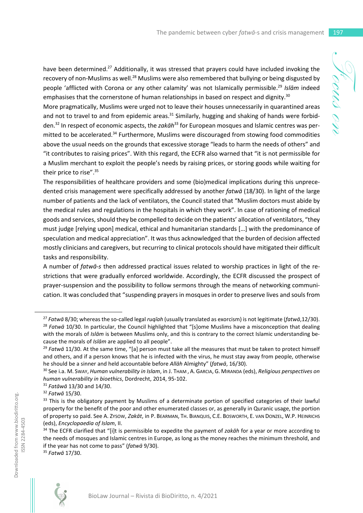have been determined.<sup>27</sup> Additionally, it was stressed that prayers could have included invoking the recovery of non-Muslims as well.<sup>28</sup> Muslims were also remembered that bullying or being disgusted by people 'afflicted with Corona or any other calamity' was not Islamically permissible.<sup>29</sup> *Islām* indeed emphasises that the cornerstone of human relationships in based on respect and dignity.<sup>30</sup>

More pragmatically, Muslims were urged not to leave their houses unnecessarily in quarantined areas and not to travel to and from epidemic areas.<sup>31</sup> Similarly, hugging and shaking of hands were forbidden.<sup>32</sup> In respect of economic aspects, the *zakāh*<sup>33</sup> for European mosques and Islamic centres was permitted to be accelerated.<sup>34</sup> Furthermore, Muslims were discouraged from stowing food commodities above the usual needs on the grounds that excessive storage "leads to harm the needs of others" and "it contributes to raising prices". With this regard, the ECFR also warned that "it is not permissible for a Muslim merchant to exploit the people's needs by raising prices, or storing goods while waiting for their price to rise".<sup>35</sup>

The responsibilities of healthcare providers and some (bio)medical implications during this unprecedented crisis management were specifically addressed by another *fatwā* (18/30). In light of the large number of patients and the lack of ventilators, the Council stated that "Muslim doctors must abide by the medical rules and regulations in the hospitals in which they work". In case of rationing of medical goods and services, should they be compelled to decide on the patients' allocation of ventilators, "they must judge [relying upon] medical, ethical and humanitarian standards […] with the predominance of speculation and medical appreciation". It was thus acknowledged that the burden of decision affected mostly clinicians and caregivers, but recurring to clinical protocols should have mitigated their difficult tasks and responsibility.

A number of *fatwā-s* then addressed practical issues related to worship practices in light of the restrictions that were gradually enforced worldwide. Accordingly, the ECFR discussed the prospect of prayer-suspension and the possibility to follow sermons through the means of networking communication. It was concluded that "suspending prayers in mosques in order to preserve lives and souls from

<sup>35</sup> *Fatwā* 17/30.



Focus on

<sup>27</sup> *Fatwā* 8/30; whereas the so-called legal *ruqīah* (usually translated as exorcism) is not legitimate (*fatwā*,12/30). <sup>28</sup> *Fatwā* 10/30. In particular, the Council highlighted that "[s]ome Muslims have a misconception that dealing with the morals of *Islām* is between Muslims only, and this is contrary to the correct Islamic understanding be-

cause the morals of *Islām* are applied to all people".

<sup>29</sup> *Fatwā* 11/30. At the same time, "[a] person must take all the measures that must be taken to protect himself and others, and if a person knows that he is infected with the virus, he must stay away from people, otherwise he should be a sinner and held accountable before *Allāh* Almighty" (*fatwā*, 16/30).

<sup>30</sup> See i.a. M. SWAY, *Human vulnerability in Islam*, in J. THAM , A. GARCIA, G. MIRANDA (eds), *Religious perspectives on human vulnerability in bioethics*, Dordrecht, 2014, 95-102.

<sup>31</sup> *Fatāwā* 13/30 and 14/30.

<sup>32</sup> *Fatwā* 15/30.

<sup>&</sup>lt;sup>33</sup> This is the obligatory payment by Muslims of a determinate portion of specified categories of their lawful property for the benefit of the poor and other enumerated classes or, as generally in Quranic usage, the portion of property so paid. See A. ZYSOW, *Zakāt*, in P. BEARMAN, TH. BIANQUIS, C.E. BOSWORTH, E. VAN DONZEL, W.P. HEINRICHS (eds), *Encyclopaedia of Islam*, II.

<sup>34</sup> The ECFR clarified that "[i]t is permissible to expedite the payment of *zakāh* for a year or more according to the needs of mosques and Islamic centres in Europe, as long as the money reaches the minimum threshold, and if the year has not come to pass" (*fatwā* 9/30).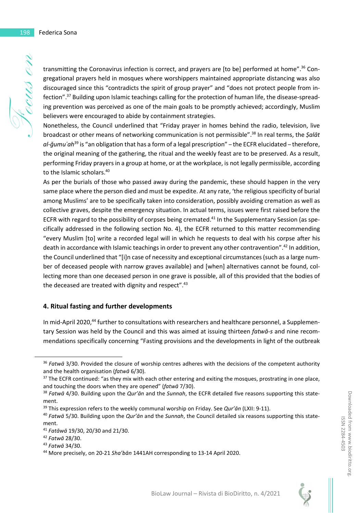transmitting the Coronavirus infection is correct, and prayers are [to be] performed at home".36 Congregational prayers held in mosques where worshippers maintained appropriate distancing was also discouraged since this "contradicts the spirit of group prayer" and "does not protect people from infection".37 Building upon Islamic teachings calling for the protection of human life, the disease-spreading prevention was perceived as one of the main goals to be promptly achieved; accordingly, Muslim believers were encouraged to abide by containment strategies.

Nonetheless, the Council underlined that "Friday prayer in homes behind the radio, television, live broadcast or other means of networking communication is not permissible".<sup>38</sup> In real terms, the *Ṣalāt al-ǧumuʿah*<sup>39</sup> is "an obligation that has a form of a legal prescription" – the ECFR elucidated – therefore, the original meaning of the gathering, the ritual and the weekly feast are to be preserved. As a result, performing Friday prayers in a group at home, or at the workplace, is not legally permissible, according to the Islamic scholars.<sup>40</sup>

As per the burials of those who passed away during the pandemic, these should happen in the very same place where the person died and must be expedite. At any rate, 'the religious specificity of burial among Muslims' are to be specifically taken into consideration, possibly avoiding cremation as well as collective graves, despite the emergency situation. In actual terms, issues were first raised before the ECFR with regard to the possibility of corpses being cremated.<sup>41</sup> In the Supplementary Session (as specifically addressed in the following section No. 4), the ECFR returned to this matter recommending "every Muslim [to] write a recorded legal will in which he requests to deal with his corpse after his death in accordance with Islamic teachings in order to prevent any other contravention".<sup>42</sup> In addition, the Council underlined that "[i]n case of necessity and exceptional circumstances (such as a large number of deceased people with narrow graves available) and [when] alternatives cannot be found, collecting more than one deceased person in one grave is possible, all of this provided that the bodies of the deceased are treated with dignity and respect".<sup>43</sup>

#### **4. Ritual fasting and further developments**

In mid-April 2020,<sup>44</sup> further to consultations with researchers and healthcare personnel, a Supplementary Session was held by the Council and this was aimed at issuing thirteen *fatwā-s* and nine recommendations specifically concerning "Fasting provisions and the developments in light of the outbreak

<sup>36</sup> *Fatwā* 3/30. Provided the closure of worship centres adheres with the decisions of the competent authority and the health organisation (*fatwā* 6/30).

<sup>&</sup>lt;sup>37</sup> The ECFR continued: "as they mix with each other entering and exiting the mosques, prostrating in one place, and touching the doors when they are opened" (*fatwā* 7/30).

<sup>38</sup> *Fatwā* 4/30. Building upon the *Qur'ān* and the *Sunnah*, the ECFR detailed five reasons supporting this statement.

<sup>39</sup> This expression refers to the weekly communal worship on Friday. See *Qur'ān* (LXII: 9-11).

<sup>40</sup> *Fatwā* 5/30. Building upon the *Qur'ān* and the *Sunnah*, the Council detailed six reasons supporting this statement.

<sup>41</sup> *Fatāwā* 19/30, 20/30 and 21/30.

<sup>42</sup> *Fatwā* 28/30.

<sup>43</sup> *Fatwā* 34/30.

<sup>44</sup> More precisely, on 20-21 *Sha'bān* 1441AH corresponding to 13-14 April 2020.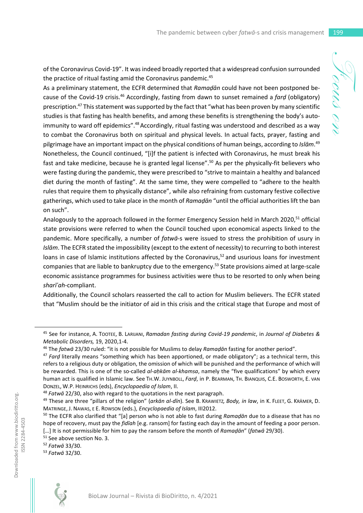of the Coronavirus Covid-19". It was indeed broadly reported that a widespread confusion surrounded the practice of ritual fasting amid the Coronavirus pandemic.<sup>45</sup>

As a preliminary statement, the ECFR determined that *Ramaḍān* could have not been postponed because of the Covid-19 crisis.<sup>46</sup> Accordingly, fasting from dawn to sunset remained a *farḍ* (obligatory) prescription.<sup>47</sup> This statement was supported by the fact that "what has been proven by many scientific studies is that fasting has health benefits, and among these benefits is strengthening the body's autoimmunity to ward off epidemics".<sup>48</sup> Accordingly, ritual fasting was understood and described as a way to combat the Coronavirus both on spiritual and physical levels. In actual facts, prayer, fasting and pilgrimage have an important impact on the physical conditions of human beings, according to *Islām*. 49 Nonetheless, the Council continued, "[i]f the patient is infected with Coronavirus, he must break his fast and take medicine, because he is granted legal license".<sup>50</sup> As per the physically-fit believers who were fasting during the pandemic, they were prescribed to "strive to maintain a healthy and balanced diet during the month of fasting". At the same time, they were compelled to "adhere to the health rules that require them to physically distance", while also refraining from customary festive collective gatherings, which used to take place in the month of *Ramaḍān* "until the official authorities lift the ban on such".

Analogously to the approach followed in the former Emergency Session held in March 2020,<sup>51</sup> official state provisions were referred to when the Council touched upon economical aspects linked to the pandemic. More specifically, a number of *fatwā*-s were issued to stress the prohibition of usury in *Islām*. The ECFR stated the impossibility (except to the extent of necessity) to recurring to both interest loans in case of Islamic institutions affected by the Coronavirus,<sup>52</sup> and usurious loans for investment companies that are liable to bankruptcy due to the emergency.<sup>53</sup> State provisions aimed at large-scale economic assistance programmes for business activities were thus to be resorted to only when being *sharīʿah*-compliant.

Additionally, the Council scholars reasserted the call to action for Muslim believers. The ECFR stated that "Muslim should be the initiator of aid in this crisis and the critical stage that Europe and most of

<sup>52</sup> *Fatwā* 33/30.

<sup>53</sup> *Fatwā* 32/30.



ISSN 2284-4503

ISSN 2284-4503

<sup>45</sup> See for instance, A. TOOTEE, B. LARIJANI, *Ramadan fasting during Covid-19 pandemic*, in *Journal of Diabetes & Metabolic Disorders,* 19, 2020,1-4.

<sup>46</sup> The *fatwā* 23/30 ruled: "it is not possible for Muslims to delay *Ramaḍān* fasting for another period".

<sup>47</sup> *Farḍ* literally means "something which has been apportioned, or made obligatory"; as a technical term, this refers to a religious duty or obligation, the omission of which will be punished and the performance of which will be rewarded. This is one of the so-called *al-aḥkām al-khamsa*, namely the "five qualifications" by which every human act is qualified in Islamic law. See TH.W. JUYNBOLL, *Farḍ*, in P. BEARMAN, TH. BIANQUIS, C.E. BOSWORTH, E. VAN DONZEL, W.P. HEINRICHS (eds), *Encyclopaedia of Islam*, II.

<sup>48</sup> *Fatwā* 22/30, also with regard to the quotations in the next paragraph.

<sup>49</sup> These are three "pillars of the religion" (*arkān al-dīn*). See B. KRAWIETZ*, Body, in law*, in K. FLEET, G. KRÄMER, D. MATRINGE, J. NAWAS, E E. ROWSON (eds.), *Encyclopaedia of Islam*, III2012.

<sup>50</sup> The ECFR also clarified that "[a] person who is not able to fast during *Ramaḍān* due to a disease that has no hope of recovery, must pay the *fidīah* [e.g. ransom] for fasting each day in the amount of feeding a poor person. […] It is not permissible for him to pay the ransom before the month of *Ramaḍān*" (*fatwā* 29/30).

<sup>&</sup>lt;sup>51</sup> See above section No. 3.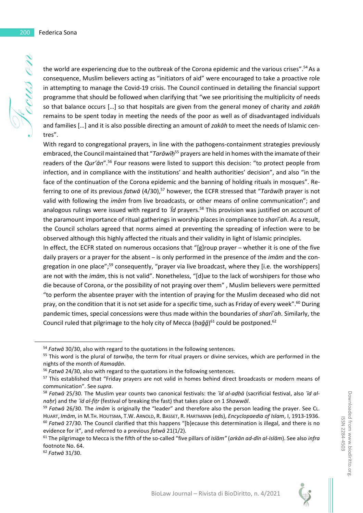the world are experiencing due to the outbreak of the Corona epidemic and the various crises".<sup>54</sup>As a consequence, Muslim believers acting as "initiators of aid" were encouraged to take a proactive role in attempting to manage the Covid-19 crisis. The Council continued in detailing the financial support programme that should be followed when clarifying that "we see prioritising the multiplicity of needs so that balance occurs […] so that hospitals are given from the general money of charity and *zakāh* remains to be spent today in meeting the needs of the poor as well as of disadvantaged individuals and families […] and it is also possible directing an amount of *zakāh* to meet the needs of Islamic centres".

With regard to congregational prayers, in line with the pathogens-containment strategies previously embraced, the Council maintained that "*Tarāwīḥ*<sup>55</sup> prayers are held in homes with the imamate of their readers of the *Qur'ān*".<sup>56</sup> Four reasons were listed to support this decision: "to protect people from infection, and in compliance with the institutions' and health authorities' decision", and also "in the face of the continuation of the Corona epidemic and the banning of holding rituals in mosques". Referring to one of its previous *fatwā* (4/30),<sup>57</sup> however, the ECFR stressed that "*Tarāwīḥ* prayer is not valid with following the *imām* from live broadcasts, or other means of online communication"; and analogous rulings were issued with regard to *ʿĪd* prayers.<sup>58</sup> This provision was justified on account of the paramount importance of ritual gatherings in worship places in compliance to *sharīʿah*. As a result, the Council scholars agreed that norms aimed at preventing the spreading of infection were to be observed although this highly affected the rituals and their validity in light of Islamic principles.

In effect, the ECFR stated on numerous occasions that "[g]roup prayer – whether it is one of the five daily prayers or a prayer for the absent – is only performed in the presence of the *imām* and the congregation in one place";<sup>59</sup> consequently, "prayer via live broadcast, where they [i.e. the worshippers] are not with the *imām*, this is not valid". Nonetheless, "[d]ue to the lack of worshipers for those who die because of Corona, or the possibility of not praying over them" , Muslim believers were permitted "to perform the absentee prayer with the intention of praying for the Muslim deceased who did not pray, on the condition that it is not set aside for a specific time, such as Friday of every week".<sup>60</sup> During pandemic times, special concessions were thus made within the boundaries of *sharīʿah*. Similarly, the Council ruled that pilgrimage to the holy city of Mecca (*ḥaǧǧ*)<sup>61</sup> could be postponed.<sup>62</sup>



<sup>54</sup> *Fatwā* 30/30, also with regard to the quotations in the following sentences.

<sup>55</sup> This word is the plural of *tarwīḥa*, the term for ritual prayers or divine services, which are performed in the nights of the month of *Ramaḍān*.

<sup>56</sup> *Fatwā* 24/30, also with regard to the quotations in the following sentences.

<sup>57</sup> This established that "Friday prayers are not valid in homes behind direct broadcasts or modern means of communication". See *supra*.

<sup>58</sup> *Fatwā* 25/30. The Muslim year counts two canonical festivals: the *ʿīd al-aḍḥā* (sacrificial festival, also *ʿīd alnaḥr*) and the *ʿīd al-fiṭr* (festival of breaking the fast) that takes place on 1 *Shawwāl*.

<sup>59</sup> *Fatwā* 26/30. The *imām* is originally the "leader" and therefore also the person leading the prayer. See CL. HUART, *Imām*, in M.TH. HOUTSMA, T.W. ARNOLD, R. BASSET, R. HARTMANN (eds), *Encyclopaedia of Islam*, I, 1913-1936. <sup>60</sup> *Fatwā* 27/30. The Council clarified that this happens "[b]ecause this determination is illegal, and there is no evidence for it", and referred to a previous *fatwā* 21(1/2).

<sup>61</sup> The pilgrimage to Mecca is the fifth of the so-called "five pillars of *Islām"* (*arkān ad-dīn al-Islām*). See also *infra* footnote No. 64.

<sup>62</sup> *Fatwā* 31/30.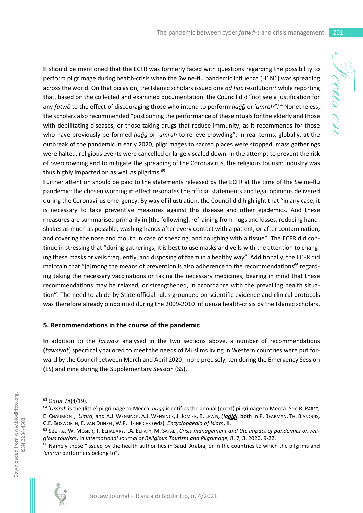It should be mentioned that the ECFR was formerly faced with questions regarding the possibility to perform pilgrimage during health-crisis when the Swine-flu pandemic influenza (H1N1) was spreading across the world. On that occasion, the Islamic scholars issued one *ad hoc* resolution<sup>63</sup> while reporting that, based on the collected and examined documentation, the Council did "not see a justification for any *fatwā* to the effect of discouraging those who intend to perform *ḥaǧǧ* or *ʿumrah"*. <sup>64</sup> Nonetheless, the scholars also recommended "postponing the performance of these rituals for the elderly and those with debilitating diseases, or those taking drugs that reduce immunity, as it recommends for those who have previously performed *ḥaǧǧ* or *ʿumrah* to relieve crowding". In real terms, globally, at the outbreak of the pandemic in early 2020, pilgrimages to sacred places were stopped, mass gatherings were halted, religious events were cancelled or largely scaled down. In the attempt to prevent the risk of overcrowding and to mitigate the spreading of the Coronavirus, the religious tourism industry was thus highly impacted on as well as pilgrims.<sup>65</sup>

Further attention should be paid to the statements released by the ECFR at the time of the Swine-flu pandemic; the chosen wording in effect resonates the official statements and legal opinions delivered during the Coronavirus emergency. By way of illustration, the Council did highlight that "in any case, it is necessary to take preventive measures against this disease and other epidemics. And these measures are summarised primarily in [the following]: refraining from hugs and kisses, reducing handshakes as much as possible, washing hands after every contact with a patient, or after contamination, and covering the nose and mouth in case of sneezing, and coughing with a tissue". The ECFR did continue in stressing that "during gatherings, it is best to use masks and veils with the attention to changing these masks or veils frequently, and disposing of them in a healthy way". Additionally, the ECFR did maintain that "[a]mong the means of prevention is also adherence to the recommendations<sup>66</sup> regarding taking the necessary vaccinations or taking the necessary medicines, bearing in mind that these recommendations may be relaxed, or strengthened, in accordance with the prevailing health situation". The need to abide by State official rules grounded on scientific evidence and clinical protocols was therefore already pinpointed during the 2009-2010 influenza health-crisis by the Islamic scholars.

#### **5. Recommendations in the course of the pandemic**

In addition to the *fatwā-s* analysed in the two sections above, a number of recommendations (*tawṣiyāt*) specifically tailored to meet the needs of Muslims living in Western countries were put forward by the Council between March and April 2020; more precisely, ten during the Emergency Session (ES) and nine during the Supplementary Session (SS).

<sup>&</sup>lt;sup>66</sup> Namely those "issued by the health authorities in Saudi Arabia, or in the countries to which the pilgrims and *ʿumrah* performers belong to".



<sup>63</sup> *Qarār* 78(4/19).

<sup>64</sup> *ʿUmrah* is the (little) pilgrimage to Mecca; *ḥaǧǧ* identifies the annual (great) pilgrimage to Mecca. See R. PARET, E. CHAUMONT, *ʿUmra*, and A.J. WENSINCK, A.J. WENSINCK, J. JOMIER, B. LEWIS, *Ḥad̲jd̲̲j*, both in *̲* P. BEARMAN, TH. BIANQUIS, C.E. BOSWORTH, E. VAN DONZEL, W.P. HEINRICHS (eds), *Encyclopaedia of Islam*, II.

<sup>65</sup> See i.a. W. MOSIER, T. ELHADARY, I.A. ELHATY, M. SAFAEI, *Crisis management and the impact of pandemics on religious tourism*, in *International Journal of Religious Tourism and Pilgrimage*, 8, 7, 3, 2020, 9-22.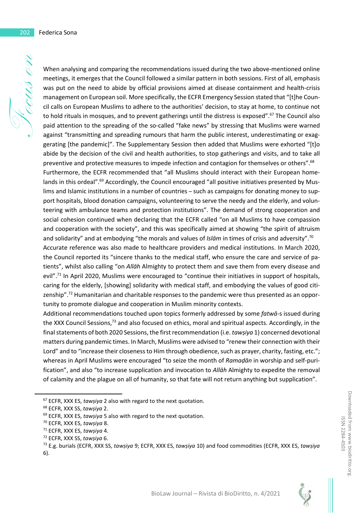When analysing and comparing the recommendations issued during the two above-mentioned online meetings, it emerges that the Council followed a similar pattern in both sessions. First of all, emphasis was put on the need to abide by official provisions aimed at disease containment and health-crisis management on European soil. More specifically, the ECFR Emergency Session stated that "[t]he Council calls on European Muslims to adhere to the authorities' decision, to stay at home, to continue not to hold rituals in mosques, and to prevent gatherings until the distress is exposed".<sup>67</sup> The Council also paid attention to the spreading of the so-called "fake news" by stressing that Muslims were warned against "transmitting and spreading rumours that harm the public interest, underestimating or exaggerating [the pandemic]". The Supplementary Session then added that Muslims were exhorted "[t]o abide by the decision of the civil and health authorities, to stop gatherings and visits, and to take all preventive and protective measures to impede infection and contagion for themselves or others".<sup>68</sup> Furthermore, the ECFR recommended that "all Muslims should interact with their European homelands in this ordeal".<sup>69</sup> Accordingly, the Council encouraged "all positive initiatives presented by Muslims and Islamic institutions in a number of countries – such as campaigns for donating money to support hospitals, blood donation campaigns, volunteering to serve the needy and the elderly, and volunteering with ambulance teams and protection institutions". The demand of strong cooperation and social cohesion continued when declaring that the ECFR called "on all Muslims to have compassion and cooperation with the society", and this was specifically aimed at showing "the spirit of altruism and solidarity" and at embodying "the morals and values of *Islām* in times of crisis and adversity".<sup>70</sup> Accurate reference was also made to healthcare providers and medical institutions. In March 2020, the Council reported its "sincere thanks to the medical staff, who ensure the care and service of patients", whilst also calling "on *Allāh* Almighty to protect them and save them from every disease and evil".<sup>71</sup> In April 2020, Muslims were encouraged to "continue their initiatives in support of hospitals, caring for the elderly, [showing] solidarity with medical staff, and embodying the values of good citizenship".<sup>72</sup> Humanitarian and charitable responses to the pandemic were thus presented as an opportunity to promote dialogue and cooperation in Muslim minority contexts.

Additional recommendations touched upon topics formerly addressed by some *fatwā*-s issued during the XXX Council Sessions,<sup>73</sup> and also focused on ethics, moral and spiritual aspects. Accordingly, in the final statements of both 2020 Sessions, the first recommendation (i.e. *tawṣiya* 1) concerned devotional matters during pandemic times. In March, Muslims were advised to "renew their connection with their Lord" and to "increase their closeness to Him through obedience, such as prayer, charity, fasting, etc."; whereas in April Muslims were encouraged "to seize the month of *Ramaḍān* in worship and self-purification", and also "to increase supplication and invocation to *Allāh* Almighty to expedite the removal of calamity and the plague on all of humanity, so that fate will not return anything but supplication".

<sup>67</sup> ECFR, XXX ES, *tawṣiya* 2 also with regard to the next quotation.

<sup>68</sup> ECFR, XXX SS, *tawṣiya* 2.

<sup>69</sup> ECFR, XXX ES, *tawṣiya* 5 also with regard to the next quotation.

<sup>70</sup> ECFR, XXX ES, *tawṣiya* 8.

<sup>71</sup> ECFR, XXX ES, *tawṣiya* 4.

<sup>72</sup> ECFR, XXX SS, *tawṣiya* 6.

<sup>73</sup> E.g. burials (ECFR, XXX SS, *tawṣiya* 9; ECFR, XXX ES, *tawṣiya* 10) and food commodities (ECFR, XXX ES, *tawṣiya* 6).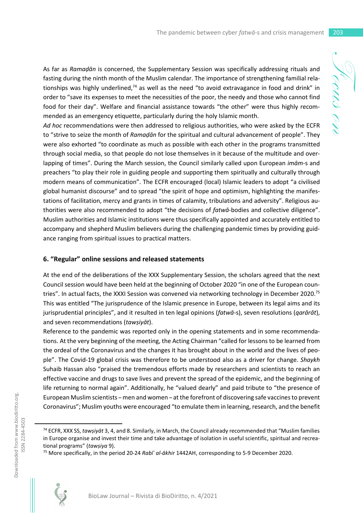As far as *Ramaḍān* is concerned, the Supplementary Session was specifically addressing rituals and fasting during the ninth month of the Muslim calendar. The importance of strengthening familial relationships was highly underlined, $74$  as well as the need "to avoid extravagance in food and drink" in order to "save its expenses to meet the necessities of the poor, the needy and those who cannot find food for their day". Welfare and financial assistance towards "the other" were thus highly recommended as an emergency etiquette, particularly during the holy Islamic month.

*Ad hoc* recommendations were then addressed to religious authorities, who were asked by the ECFR to "strive to seize the month of *Ramaḍān* for the spiritual and cultural advancement of people". They were also exhorted "to coordinate as much as possible with each other in the programs transmitted through social media, so that people do not lose themselves in it because of the multitude and overlapping of times". During the March session, the Council similarly called upon European *imām*-s and preachers "to play their role in guiding people and supporting them spiritually and culturally through modern means of communication". The ECFR encouraged (local) Islamic leaders to adopt "a civilised global humanist discourse" and to spread "the spirit of hope and optimism, highlighting the manifestations of facilitation, mercy and grants in times of calamity, tribulations and adversity". Religious authorities were also recommended to adopt "the decisions of *fatwā*-bodies and collective diligence". Muslim authorities and Islamic institutions were thus specifically appointed and accurately entitled to accompany and shepherd Muslim believers during the challenging pandemic times by providing guidance ranging from spiritual issues to practical matters.

## **6. "Regular" online sessions and released statements**

At the end of the deliberations of the XXX Supplementary Session, the scholars agreed that the next Council session would have been held at the beginning of October 2020 "in one of the European countries". In actual facts, the XXXI Session was convened via networking technology in December 2020.<sup>75</sup> This was entitled "The jurisprudence of the Islamic presence in Europe, between its legal aims and its jurisprudential principles", and it resulted in ten legal opinions (*fatwā-*s), seven resolutions (*qarārāt*), and seven recommendations (*tawṣiyāt*).

Reference to the pandemic was reported only in the opening statements and in some recommendations. At the very beginning of the meeting, the Acting Chairman "called for lessons to be learned from the ordeal of the Coronavirus and the changes it has brought about in the world and the lives of people". The Covid-19 global crisis was therefore to be understood also as a driver for change. *Shaykh* Suhaib Hassan also "praised the tremendous efforts made by researchers and scientists to reach an effective vaccine and drugs to save lives and prevent the spread of the epidemic, and the beginning of life returning to normal again". Additionally, he "valued dearly" and paid tribute to "the presence of European Muslim scientists – men and women – at the forefront of discovering safe vaccines to prevent Coronavirus"; Muslim youths were encouraged "to emulate them in learning, research, and the benefit

<sup>75</sup> More specifically, in the period 20-24 *Rabīʿ al-ākhir* 1442AH, corresponding to 5-9 December 2020.



<sup>74</sup> ECFR, XXX SS, *tawṣiyāt* 3, 4, and 8. Similarly, in March, the Council already recommended that "Muslim families in Europe organise and invest their time and take advantage of isolation in useful scientific, spiritual and recreational programs" (*tawṣiya* 9).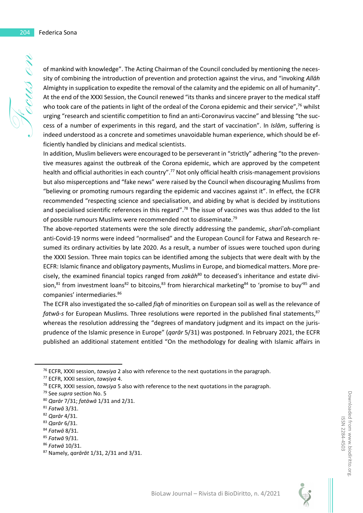of mankind with knowledge". The Acting Chairman of the Council concluded by mentioning the necessity of combining the introduction of prevention and protection against the virus, and "invoking *Allāh* Almighty in supplication to expedite the removal of the calamity and the epidemic on all of humanity". At the end of the XXXI Session, the Council renewed "its thanks and sincere prayer to the medical staff who took care of the patients in light of the ordeal of the Corona epidemic and their service",<sup>76</sup> whilst urging "research and scientific competition to find an anti-Coronavirus vaccine" and blessing "the success of a number of experiments in this regard, and the start of vaccination". In *Islām*, suffering is indeed understood as a concrete and sometimes unavoidable human experience, which should be efficiently handled by clinicians and medical scientists.

In addition, Muslim believers were encouraged to be perseverant in "strictly" adhering "to the preventive measures against the outbreak of the Corona epidemic, which are approved by the competent health and official authorities in each country".<sup>77</sup> Not only official health crisis-management provisions but also misperceptions and "fake news" were raised by the Council when discouraging Muslims from "believing or promoting rumours regarding the epidemic and vaccines against it". In effect, the ECFR recommended "respecting science and specialisation, and abiding by what is decided by institutions and specialised scientific references in this regard".<sup>78</sup> The issue of vaccines was thus added to the list of possible rumours Muslims were recommended not to disseminate.<sup>79</sup>

The above-reported statements were the sole directly addressing the pandemic, *sharīʿah*-compliant anti-Covid-19 norms were indeed "normalised" and the European Council for Fatwa and Research resumed its ordinary activities by late 2020. As a result, a number of issues were touched upon during the XXXI Session. Three main topics can be identified among the subjects that were dealt with by the ECFR: Islamic finance and obligatory payments, Muslims in Europe, and biomedical matters. More precisely, the examined financial topics ranged from *zakāh*<sup>80</sup> to deceased's inheritance and estate division, $81$  from investment loans $82$  to bitcoins, $83$  from hierarchical marketing  $84$  to 'promise to buy'  $85$  and companies' intermediaries.<sup>86</sup>

The ECFR also investigated the so-called *fiqh* of minorities on European soil as well as the relevance of *fatwā-s* for European Muslims. Three resolutions were reported in the published final statements,<sup>87</sup> whereas the resolution addressing the "degrees of mandatory judgment and its impact on the jurisprudence of the Islamic presence in Europe" (*qarār* 5/31) was postponed. In February 2021, the ECFR published an additional statement entitled "On the methodology for dealing with Islamic affairs in



<sup>&</sup>lt;sup>76</sup> ECFR, XXXI session, *tawsiya* 2 also with reference to the next quotations in the paragraph.

<sup>77</sup> ECFR, XXXI session, *tawṣiya* 4.

<sup>78</sup> ECFR, XXXI session, *tawṣiya* 5 also with reference to the next quotations in the paragraph.

<sup>79</sup> See *supra* section No. 5

<sup>80</sup> *Qarār* 7/31; *fatāwā* 1/31 and 2/31.

<sup>81</sup> *Fatwā* 3/31.

<sup>82</sup> *Qarār* 4/31.

<sup>83</sup> *Qarār* 6/31.

<sup>84</sup> *Fatwā* 8/31.

<sup>85</sup> *Fatwā* 9/31.

<sup>86</sup> *Fatwā* 10/31.

<sup>87</sup> Namely, *qarārāt* 1/31, 2/31 and 3/31.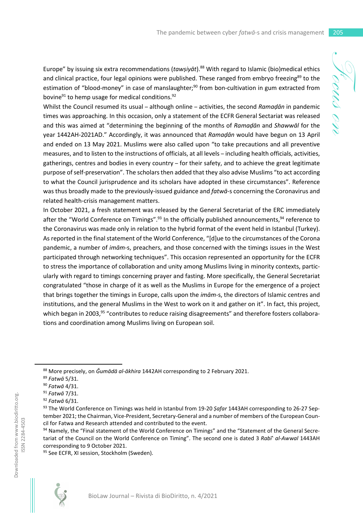Europe" by issuing six extra recommendations (tawșiyat).<sup>88</sup> With regard to Islamic (bio)medical ethics and clinical practice, four legal opinions were published. These ranged from embryo freezing<sup>89</sup> to the estimation of "blood-money" in case of manslaughter;<sup>90</sup> from bon-cultivation in gum extracted from bovine $91$  to hemp usage for medical conditions.  $92$ 

Whilst the Council resumed its usual – although online – activities, the second *Ramaḍān* in pandemic times was approaching. In this occasion, only a statement of the ECFR General Sectariat was released and this was aimed at "determining the beginning of the months of *Ramaḍān* and *Shawwāl* for the year 1442AH-2021AD." Accordingly, it was announced that *Ramaḍān* would have begun on 13 April and ended on 13 May 2021. Muslims were also called upon "to take precautions and all preventive measures, and to listen to the instructions of officials, at all levels – including health officials, activities, gatherings, centres and bodies in every country – for their safety, and to achieve the great legitimate purpose of self-preservation". The scholars then added that they also advise Muslims "to act according to what the Council jurisprudence and its scholars have adopted in these circumstances". Reference was thus broadly made to the previously-issued guidance and *fatwā*-s concerning the Coronavirus and related health-crisis management matters.

In October 2021, a fresh statement was released by the General Secretariat of the ERC immediately after the "World Conference on Timings".<sup>93</sup> In the officially published announcements,  $94$  reference to the Coronavirus was made only in relation to the hybrid format of the event held in Istanbul (Turkey). As reported in the final statement of the World Conference, "[d]ue to the circumstances of the Corona pandemic, a number of *imām*-s, preachers, and those concerned with the timings issues in the West participated through networking techniques". This occasion represented an opportunity for the ECFR to stress the importance of collaboration and unity among Muslims living in minority contexts, particularly with regard to timings concerning prayer and fasting. More specifically, the General Secretariat congratulated "those in charge of it as well as the Muslims in Europe for the emergence of a project that brings together the timings in Europe, calls upon the *imām*-s, the directors of Islamic centres and institutions, and the general Muslims in the West to work on it and gather on it". In fact, this project, which began in 2003,<sup>95</sup> "contributes to reduce raising disagreements" and therefore fosters collaborations and coordination among Muslims living on European soil.

<sup>95</sup> See ECFR, XI session, Stockholm (Sweden).



<sup>88</sup> More precisely, on *Ǧumādā al-ākhira* 1442AH corresponding to 2 February 2021.

<sup>89</sup> *Fatwā* 5/31.

<sup>90</sup> *Fatwā* 4/31.

<sup>91</sup> *Fatwā* 7/31.

<sup>92</sup> *Fatwā* 6/31.

<sup>93</sup> The World Conference on Timings was held in Istanbul from 19-20 *Ṣafar* 1443AH corresponding to 26-27 September 2021; the Chairman, Vice-President, Secretary-General and a number of members of the European Council for Fatwa and Research attended and contributed to the event.

<sup>94</sup> Namely, the "Final statement of the World Conference on Timings" and the "Statement of the General Secretariat of the Council on the World Conference on Timing". The second one is dated 3 *Rabī*<sup>+</sup> al-Awwal 1443AH corresponding to 9 October 2021.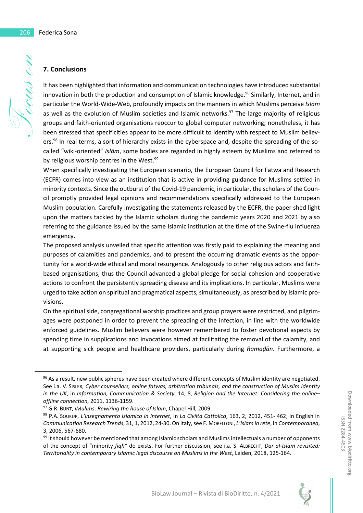### **7. Conclusions**

Focus on It has been highlighted that information and communication technologies have introduced substantial innovation in both the production and consumption of Islamic knowledge.<sup>96</sup> Similarly, Internet, and in particular the World-Wide-Web, profoundly impacts on the manners in which Muslims perceive *Islām* as well as the evolution of Muslim societies and Islamic networks. $97$  The large majority of religious groups and faith-oriented organisations reoccur to global computer networking; nonetheless, it has been stressed that specificities appear to be more difficult to identify with respect to Muslim believers.<sup>98</sup> In real terms, a sort of hierarchy exists in the cyberspace and, despite the spreading of the socalled "wiki-oriented" *Islām*, some bodies are regarded in highly esteem by Muslims and referred to by religious worship centres in the West.<sup>99</sup>

> When specifically investigating the European scenario, the European Council for Fatwa and Research (ECFR) comes into view as an institution that is active in providing guidance for Muslims settled in minority contexts. Since the outburst of the Covid-19 pandemic, in particular, the scholars of the Council promptly provided legal opinions and recommendations specifically addressed to the European Muslim population. Carefully investigating the statements released by the ECFR, the paper shed light upon the matters tackled by the Islamic scholars during the pandemic years 2020 and 2021 by also referring to the guidance issued by the same Islamic institution at the time of the Swine-flu influenza emergency.

> The proposed analysis unveiled that specific attention was firstly paid to explaining the meaning and purposes of calamities and pandemics, and to present the occurring dramatic events as the opportunity for a world-wide ethical and moral resurgence. Analogously to other religious actors and faithbased organisations, thus the Council advanced a global pledge for social cohesion and cooperative actions to confront the persistently spreading disease and its implications. In particular, Muslims were urged to take action on spiritual and pragmatical aspects, simultaneously, as prescribed by Islamic provisions.

> On the spiritual side, congregational worship practices and group prayers were restricted, and pilgrimages were postponed in order to prevent the spreading of the infection, in line with the worldwide enforced guidelines. Muslim believers were however remembered to foster devotional aspects by spending time in supplications and invocations aimed at facilitating the removal of the calamity, and at supporting sick people and healthcare providers, particularly during *Ramaḍān*. Furthermore, a

<sup>99</sup> It should however be mentioned that among Islamic scholars and Muslims intellectuals a number of opponents of the concept of "minority *fiqh"* do exists. For further discussion, see i.a. S. ALBRECHT, *Dār al-Islām revisited: Territoriality in contemporary Islamic legal discourse on Muslims in the West*, Leiden, 2018, 125-164.



Downloaded from www.biodiritto.org. ISSN 2284-4503

Downloaded from www.biodiritto.org ISSN 2284-4503

<sup>&</sup>lt;sup>96</sup> As a result, new public spheres have been created where different concepts of Muslim identity are negotiated. See i.a. V. SISLER, *Cyber counsellors, online fatwas, arbitration tribunals, and the construction of Muslim identity in the UK*, in *Information, Communication & Society*, 14, 8, *Religion and the Internet: Considering the online– offline connection*, 2011, 1136-1159.

<sup>97</sup> G.R. BUNT, *iMulims: Rewiring the house of Islam*, Chapel Hill, 2009.

<sup>98</sup> P.A. SOUKUP, *L'insegnamento Islamico in Internet*, in *La Civiltà Cattolica*, 163, 2, 2012, 451- 462; in English in *Communication Research Trends*, 31, 1, 2012, 24-30. On Italy, see F. MORELLONI, *L'Islam in rete*, in *Contemporanea*, 3, 2006, 567-680.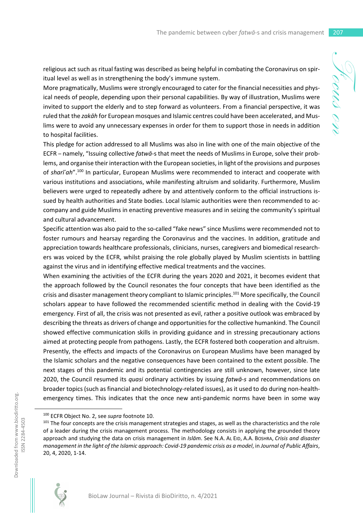religious act such as ritual fasting was described as being helpful in combating the Coronavirus on spiritual level as well as in strengthening the body's immune system.

More pragmatically, Muslims were strongly encouraged to cater for the financial necessities and physical needs of people, depending upon their personal capabilities. By way of illustration, Muslims were invited to support the elderly and to step forward as volunteers. From a financial perspective, it was ruled that the *zakāh* for European mosques and Islamic centres could have been accelerated, and Muslims were to avoid any unnecessary expenses in order for them to support those in needs in addition to hospital facilities.

This pledge for action addressed to all Muslims was also in line with one of the main objective of the ECFR – namely, "Issuing collective *fatwā*-s that meet the needs of Muslims in Europe, solve their problems, and organise their interaction with the European societies, in light of the provisions and purposes of *sharīʿah*".<sup>100</sup> In particular, European Muslims were recommended to interact and cooperate with various institutions and associations, while manifesting altruism and solidarity. Furthermore, Muslim believers were urged to repeatedly adhere by and attentively conform to the official instructions issued by health authorities and State bodies. Local Islamic authorities were then recommended to accompany and guide Muslims in enacting preventive measures and in seizing the community's spiritual and cultural advancement.

Specific attention was also paid to the so-called "fake news" since Muslims were recommended not to foster rumours and hearsay regarding the Coronavirus and the vaccines. In addition, gratitude and appreciation towards healthcare professionals, clinicians, nurses, caregivers and biomedical researchers was voiced by the ECFR, whilst praising the role globally played by Muslim scientists in battling against the virus and in identifying effective medical treatments and the vaccines.

When examining the activities of the ECFR during the years 2020 and 2021, it becomes evident that the approach followed by the Council resonates the four concepts that have been identified as the crisis and disaster management theory compliant to Islamic principles.<sup>101</sup> More specifically, the Council scholars appear to have followed the recommended scientific method in dealing with the Covid-19 emergency. First of all, the crisis was not presented as evil, rather a positive outlook was embraced by describing the threats as drivers of change and opportunities for the collective humankind. The Council showed effective communication skills in providing guidance and in stressing precautionary actions aimed at protecting people from pathogens. Lastly, the ECFR fostered both cooperation and altruism. Presently, the effects and impacts of the Coronavirus on European Muslims have been managed by the Islamic scholars and the negative consequences have been contained to the extent possible. The next stages of this pandemic and its potential contingencies are still unknown, however, since late 2020, the Council resumed its *quasi* ordinary activities by issuing *fatwā-s* and recommendations on broader topics (such as financial and biotechnology-related issues), as it used to do during non-healthemergency times. This indicates that the once new anti-pandemic norms have been in some way

<sup>&</sup>lt;sup>101</sup> The four concepts are the crisis management strategies and stages, as well as the characteristics and the role of a leader during the crisis management process. The methodology consists in applying the grounded theory approach and studying the data on crisis management in *Islām*. See N.A. AL EID, A.A. BOSHRA, *Crisis and disaster management in the light of the Islamic approach: Covid-19 pandemic crisis as a model*, in *Journal of Public Affairs*, 20, 4, 2020, 1-14.



Downloaded from www.biodiritto.org. ISSN 2284-4503

Downloaded from www.biodiritto.org. SSN 2284-4503

<sup>100</sup> ECFR Object No. 2, see *supra* footnote 10.